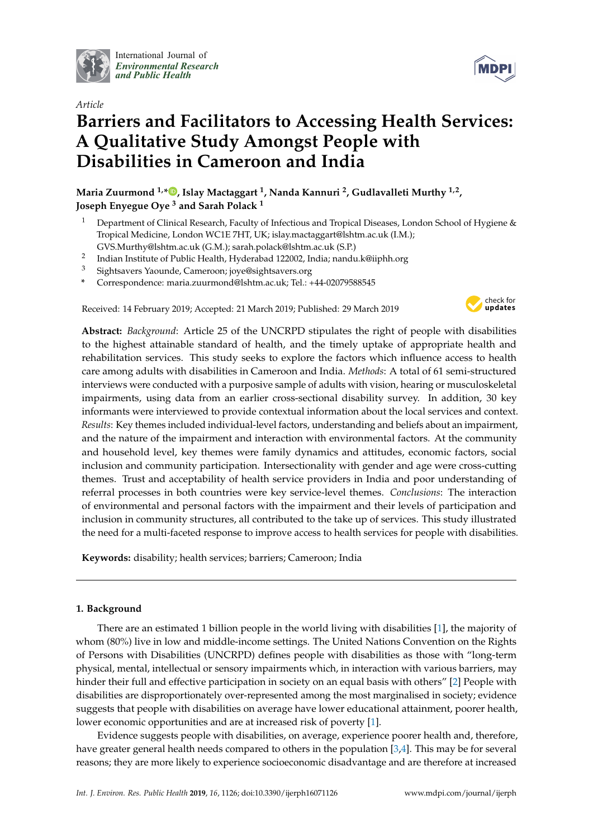

International Journal of *[Environmental Research](http://www.mdpi.com/journal/ijerph) and Public Health*



# **Barriers and Facilitators to Accessing Health Services: A Qualitative Study Amongst People with Disabilities in Cameroon and India**

**Maria Zuurmond 1,[\\*](https://orcid.org/0000-0003-2352-6972) , Islay Mactaggart <sup>1</sup> , Nanda Kannuri <sup>2</sup> , Gudlavalleti Murthy 1,2 , Joseph Enyegue Oye <sup>3</sup> and Sarah Polack <sup>1</sup>**

- <sup>1</sup> Department of Clinical Research, Faculty of Infectious and Tropical Diseases, London School of Hygiene & Tropical Medicine, London WC1E 7HT, UK; islay.mactaggart@lshtm.ac.uk (I.M.); GVS.Murthy@lshtm.ac.uk (G.M.); sarah.polack@lshtm.ac.uk (S.P.)
- 2 Indian Institute of Public Health, Hyderabad 122002, India; nandu.k@iiphh.org
- <sup>3</sup> Sightsavers Yaounde, Cameroon; joye@sightsavers.org
- **\*** Correspondence: maria.zuurmond@lshtm.ac.uk; Tel.: +44-02079588545

Received: 14 February 2019; Accepted: 21 March 2019; Published: 29 March 2019



**Abstract:** *Background*: Article 25 of the UNCRPD stipulates the right of people with disabilities to the highest attainable standard of health, and the timely uptake of appropriate health and rehabilitation services. This study seeks to explore the factors which influence access to health care among adults with disabilities in Cameroon and India. *Methods*: A total of 61 semi-structured interviews were conducted with a purposive sample of adults with vision, hearing or musculoskeletal impairments, using data from an earlier cross-sectional disability survey. In addition, 30 key informants were interviewed to provide contextual information about the local services and context. *Results*: Key themes included individual-level factors, understanding and beliefs about an impairment, and the nature of the impairment and interaction with environmental factors. At the community and household level, key themes were family dynamics and attitudes, economic factors, social inclusion and community participation. Intersectionality with gender and age were cross-cutting themes. Trust and acceptability of health service providers in India and poor understanding of referral processes in both countries were key service-level themes. *Conclusions*: The interaction of environmental and personal factors with the impairment and their levels of participation and inclusion in community structures, all contributed to the take up of services. This study illustrated the need for a multi-faceted response to improve access to health services for people with disabilities.

**Keywords:** disability; health services; barriers; Cameroon; India

# **1. Background**

There are an estimated 1 billion people in the world living with disabilities [\[1\]](#page-11-0), the majority of whom (80%) live in low and middle-income settings. The United Nations Convention on the Rights of Persons with Disabilities (UNCRPD) defines people with disabilities as those with "long-term physical, mental, intellectual or sensory impairments which, in interaction with various barriers, may hinder their full and effective participation in society on an equal basis with others" [\[2\]](#page-11-1) People with disabilities are disproportionately over-represented among the most marginalised in society; evidence suggests that people with disabilities on average have lower educational attainment, poorer health, lower economic opportunities and are at increased risk of poverty [\[1\]](#page-11-0).

Evidence suggests people with disabilities, on average, experience poorer health and, therefore, have greater general health needs compared to others in the population [\[3](#page-11-2)[,4\]](#page-11-3). This may be for several reasons; they are more likely to experience socioeconomic disadvantage and are therefore at increased

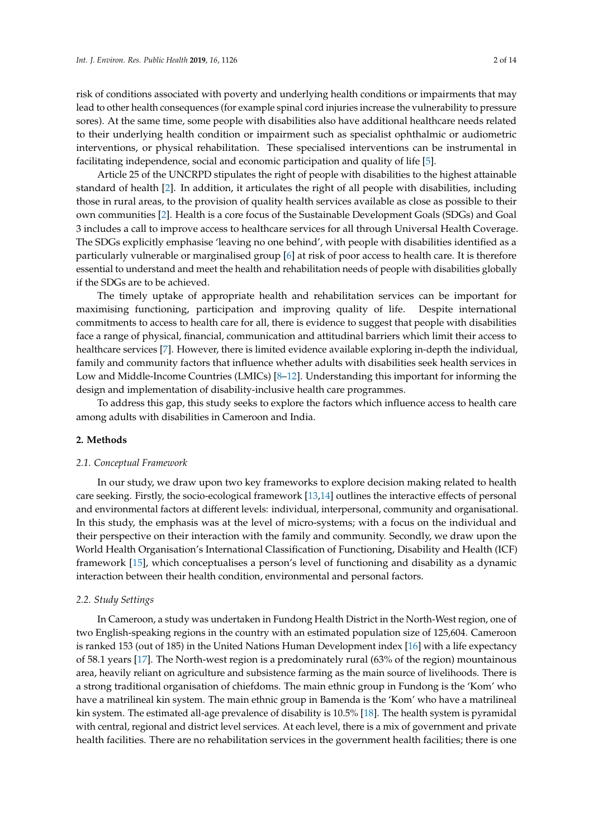risk of conditions associated with poverty and underlying health conditions or impairments that may lead to other health consequences (for example spinal cord injuries increase the vulnerability to pressure sores). At the same time, some people with disabilities also have additional healthcare needs related to their underlying health condition or impairment such as specialist ophthalmic or audiometric interventions, or physical rehabilitation. These specialised interventions can be instrumental in facilitating independence, social and economic participation and quality of life [\[5\]](#page-11-4).

Article 25 of the UNCRPD stipulates the right of people with disabilities to the highest attainable standard of health [\[2\]](#page-11-1). In addition, it articulates the right of all people with disabilities, including those in rural areas, to the provision of quality health services available as close as possible to their own communities [\[2\]](#page-11-1). Health is a core focus of the Sustainable Development Goals (SDGs) and Goal 3 includes a call to improve access to healthcare services for all through Universal Health Coverage. The SDGs explicitly emphasise 'leaving no one behind', with people with disabilities identified as a particularly vulnerable or marginalised group [\[6\]](#page-11-5) at risk of poor access to health care. It is therefore essential to understand and meet the health and rehabilitation needs of people with disabilities globally if the SDGs are to be achieved.

The timely uptake of appropriate health and rehabilitation services can be important for maximising functioning, participation and improving quality of life. Despite international commitments to access to health care for all, there is evidence to suggest that people with disabilities face a range of physical, financial, communication and attitudinal barriers which limit their access to healthcare services [\[7\]](#page-11-6). However, there is limited evidence available exploring in-depth the individual, family and community factors that influence whether adults with disabilities seek health services in Low and Middle-Income Countries (LMICs) [\[8](#page-11-7)[–12\]](#page-12-0). Understanding this important for informing the design and implementation of disability-inclusive health care programmes.

To address this gap, this study seeks to explore the factors which influence access to health care among adults with disabilities in Cameroon and India.

# **2. Methods**

#### *2.1. Conceptual Framework*

In our study, we draw upon two key frameworks to explore decision making related to health care seeking. Firstly, the socio-ecological framework [\[13,](#page-12-1)[14\]](#page-12-2) outlines the interactive effects of personal and environmental factors at different levels: individual, interpersonal, community and organisational. In this study, the emphasis was at the level of micro-systems; with a focus on the individual and their perspective on their interaction with the family and community. Secondly, we draw upon the World Health Organisation's International Classification of Functioning, Disability and Health (ICF) framework [\[15\]](#page-12-3), which conceptualises a person's level of functioning and disability as a dynamic interaction between their health condition, environmental and personal factors.

#### *2.2. Study Settings*

In Cameroon, a study was undertaken in Fundong Health District in the North-West region, one of two English-speaking regions in the country with an estimated population size of 125,604. Cameroon is ranked 153 (out of 185) in the United Nations Human Development index [\[16\]](#page-12-4) with a life expectancy of 58.1 years [\[17\]](#page-12-5). The North-west region is a predominately rural (63% of the region) mountainous area, heavily reliant on agriculture and subsistence farming as the main source of livelihoods. There is a strong traditional organisation of chiefdoms. The main ethnic group in Fundong is the 'Kom' who have a matrilineal kin system. The main ethnic group in Bamenda is the 'Kom' who have a matrilineal kin system. The estimated all-age prevalence of disability is 10.5% [\[18\]](#page-12-6). The health system is pyramidal with central, regional and district level services. At each level, there is a mix of government and private health facilities. There are no rehabilitation services in the government health facilities; there is one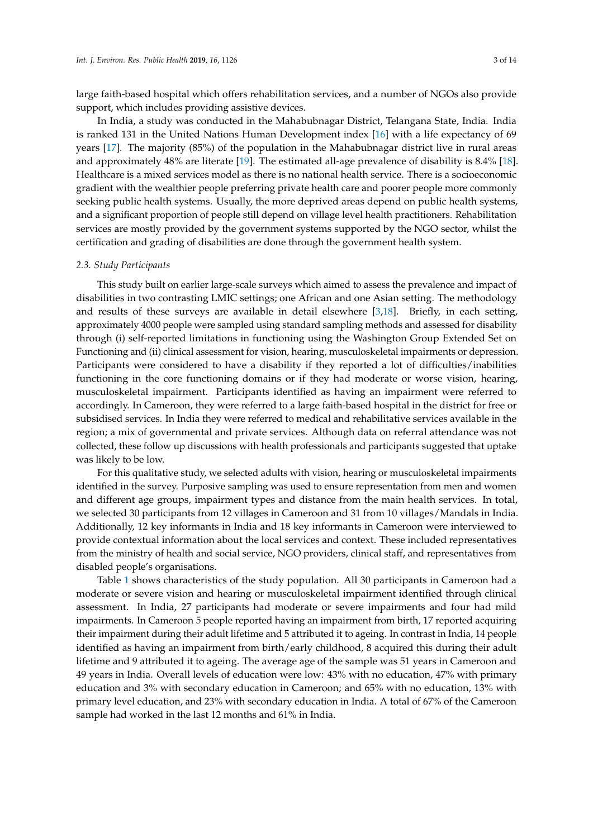large faith-based hospital which offers rehabilitation services, and a number of NGOs also provide support, which includes providing assistive devices.

In India, a study was conducted in the Mahabubnagar District, Telangana State, India. India is ranked 131 in the United Nations Human Development index [\[16\]](#page-12-4) with a life expectancy of 69 years [\[17\]](#page-12-5). The majority (85%) of the population in the Mahabubnagar district live in rural areas and approximately 48% are literate [\[19\]](#page-12-7). The estimated all-age prevalence of disability is 8.4% [\[18\]](#page-12-6). Healthcare is a mixed services model as there is no national health service. There is a socioeconomic gradient with the wealthier people preferring private health care and poorer people more commonly seeking public health systems. Usually, the more deprived areas depend on public health systems, and a significant proportion of people still depend on village level health practitioners. Rehabilitation services are mostly provided by the government systems supported by the NGO sector, whilst the certification and grading of disabilities are done through the government health system.

# *2.3. Study Participants*

This study built on earlier large-scale surveys which aimed to assess the prevalence and impact of disabilities in two contrasting LMIC settings; one African and one Asian setting. The methodology and results of these surveys are available in detail elsewhere [\[3,](#page-11-2)[18\]](#page-12-6). Briefly, in each setting, approximately 4000 people were sampled using standard sampling methods and assessed for disability through (i) self-reported limitations in functioning using the Washington Group Extended Set on Functioning and (ii) clinical assessment for vision, hearing, musculoskeletal impairments or depression. Participants were considered to have a disability if they reported a lot of difficulties/inabilities functioning in the core functioning domains or if they had moderate or worse vision, hearing, musculoskeletal impairment. Participants identified as having an impairment were referred to accordingly. In Cameroon, they were referred to a large faith-based hospital in the district for free or subsidised services. In India they were referred to medical and rehabilitative services available in the region; a mix of governmental and private services. Although data on referral attendance was not collected, these follow up discussions with health professionals and participants suggested that uptake was likely to be low.

For this qualitative study, we selected adults with vision, hearing or musculoskeletal impairments identified in the survey. Purposive sampling was used to ensure representation from men and women and different age groups, impairment types and distance from the main health services. In total, we selected 30 participants from 12 villages in Cameroon and 31 from 10 villages/Mandals in India. Additionally, 12 key informants in India and 18 key informants in Cameroon were interviewed to provide contextual information about the local services and context. These included representatives from the ministry of health and social service, NGO providers, clinical staff, and representatives from disabled people's organisations.

Table [1](#page-3-0) shows characteristics of the study population. All 30 participants in Cameroon had a moderate or severe vision and hearing or musculoskeletal impairment identified through clinical assessment. In India, 27 participants had moderate or severe impairments and four had mild impairments. In Cameroon 5 people reported having an impairment from birth, 17 reported acquiring their impairment during their adult lifetime and 5 attributed it to ageing. In contrast in India, 14 people identified as having an impairment from birth/early childhood, 8 acquired this during their adult lifetime and 9 attributed it to ageing. The average age of the sample was 51 years in Cameroon and 49 years in India. Overall levels of education were low: 43% with no education, 47% with primary education and 3% with secondary education in Cameroon; and 65% with no education, 13% with primary level education, and 23% with secondary education in India. A total of 67% of the Cameroon sample had worked in the last 12 months and 61% in India.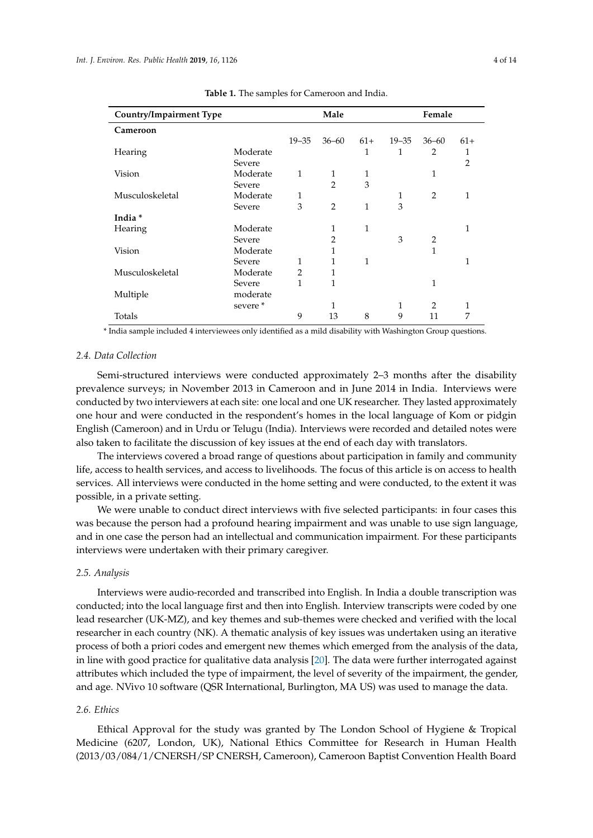<span id="page-3-0"></span>

| <b>Country/Impairment Type</b> | Male     |           |                | Female |           |                |                |
|--------------------------------|----------|-----------|----------------|--------|-----------|----------------|----------------|
| Cameroon                       |          |           |                |        |           |                |                |
|                                |          | $19 - 35$ | $36 - 60$      | $61+$  | $19 - 35$ | $36 - 60$      | $61+$          |
| Hearing                        | Moderate |           |                | 1      | 1         | $\overline{2}$ | 1              |
|                                | Severe   |           |                |        |           |                | $\overline{2}$ |
| Vision                         | Moderate | 1         | 1              | 1      |           | 1              |                |
|                                | Severe   |           | $\overline{2}$ | 3      |           |                |                |
| Musculoskeletal                | Moderate | 1         |                |        | 1         | 2              | 1              |
|                                | Severe   | 3         | $\overline{2}$ | 1      | 3         |                |                |
| India *                        |          |           |                |        |           |                |                |
| <b>Hearing</b>                 | Moderate |           | 1              | 1      |           |                | 1              |
|                                | Severe   |           | $\overline{2}$ |        | 3         | $\overline{2}$ |                |
| Vision                         | Moderate |           | 1              |        |           | 1              |                |
|                                | Severe   | 1         | 1              | 1      |           |                | 1              |
| Musculoskeletal                | Moderate | 2         | 1              |        |           |                |                |
|                                | Severe   | 1         | 1              |        |           | 1              |                |
| Multiple                       | moderate |           |                |        |           |                |                |
|                                | severe*  |           |                |        | 1         | $\mathcal{L}$  |                |
| Totals                         |          | 9         | 13             | 8      | 9         | 11             | 7              |

**Table 1.** The samples for Cameroon and India.

\* India sample included 4 interviewees only identified as a mild disability with Washington Group questions.

# *2.4. Data Collection*

Semi-structured interviews were conducted approximately 2–3 months after the disability prevalence surveys; in November 2013 in Cameroon and in June 2014 in India. Interviews were conducted by two interviewers at each site: one local and one UK researcher. They lasted approximately one hour and were conducted in the respondent's homes in the local language of Kom or pidgin English (Cameroon) and in Urdu or Telugu (India). Interviews were recorded and detailed notes were also taken to facilitate the discussion of key issues at the end of each day with translators.

The interviews covered a broad range of questions about participation in family and community life, access to health services, and access to livelihoods. The focus of this article is on access to health services. All interviews were conducted in the home setting and were conducted, to the extent it was possible, in a private setting.

We were unable to conduct direct interviews with five selected participants: in four cases this was because the person had a profound hearing impairment and was unable to use sign language, and in one case the person had an intellectual and communication impairment. For these participants interviews were undertaken with their primary caregiver.

#### *2.5. Analysis*

Interviews were audio-recorded and transcribed into English. In India a double transcription was conducted; into the local language first and then into English. Interview transcripts were coded by one lead researcher (UK-MZ), and key themes and sub-themes were checked and verified with the local researcher in each country (NK). A thematic analysis of key issues was undertaken using an iterative process of both a priori codes and emergent new themes which emerged from the analysis of the data, in line with good practice for qualitative data analysis [\[20\]](#page-12-8). The data were further interrogated against attributes which included the type of impairment, the level of severity of the impairment, the gender, and age. NVivo 10 software (QSR International, Burlington, MA US) was used to manage the data.

# *2.6. Ethics*

Ethical Approval for the study was granted by The London School of Hygiene & Tropical Medicine (6207, London, UK), National Ethics Committee for Research in Human Health (2013/03/084/1/CNERSH/SP CNERSH, Cameroon), Cameroon Baptist Convention Health Board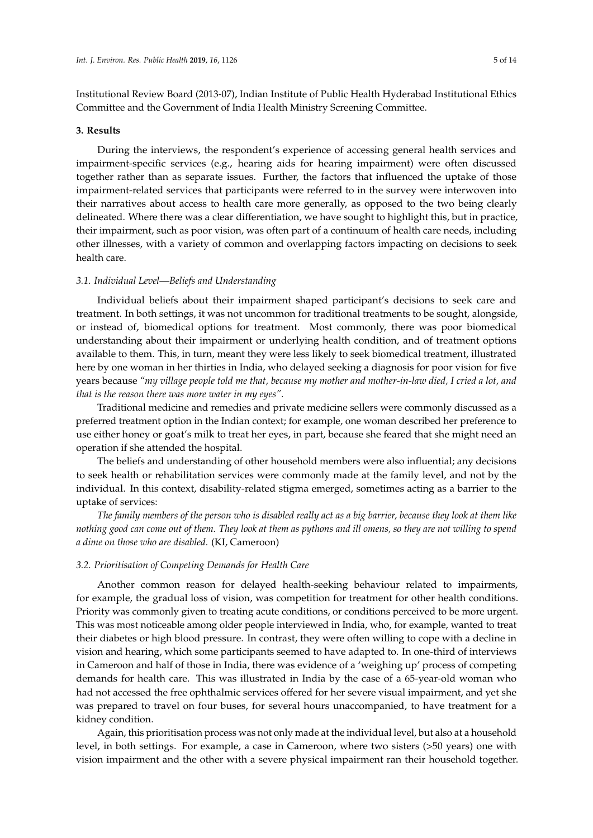Institutional Review Board (2013-07), Indian Institute of Public Health Hyderabad Institutional Ethics Committee and the Government of India Health Ministry Screening Committee.

#### **3. Results**

During the interviews, the respondent's experience of accessing general health services and impairment-specific services (e.g., hearing aids for hearing impairment) were often discussed together rather than as separate issues. Further, the factors that influenced the uptake of those impairment-related services that participants were referred to in the survey were interwoven into their narratives about access to health care more generally, as opposed to the two being clearly delineated. Where there was a clear differentiation, we have sought to highlight this, but in practice, their impairment, such as poor vision, was often part of a continuum of health care needs, including other illnesses, with a variety of common and overlapping factors impacting on decisions to seek health care.

# *3.1. Individual Level—Beliefs and Understanding*

Individual beliefs about their impairment shaped participant's decisions to seek care and treatment. In both settings, it was not uncommon for traditional treatments to be sought, alongside, or instead of, biomedical options for treatment. Most commonly, there was poor biomedical understanding about their impairment or underlying health condition, and of treatment options available to them. This, in turn, meant they were less likely to seek biomedical treatment, illustrated here by one woman in her thirties in India, who delayed seeking a diagnosis for poor vision for five years because *"my village people told me that, because my mother and mother-in-law died, I cried a lot, and that is the reason there was more water in my eyes"*.

Traditional medicine and remedies and private medicine sellers were commonly discussed as a preferred treatment option in the Indian context; for example, one woman described her preference to use either honey or goat's milk to treat her eyes, in part, because she feared that she might need an operation if she attended the hospital.

The beliefs and understanding of other household members were also influential; any decisions to seek health or rehabilitation services were commonly made at the family level, and not by the individual. In this context, disability-related stigma emerged, sometimes acting as a barrier to the uptake of services:

*The family members of the person who is disabled really act as a big barrier, because they look at them like nothing good can come out of them. They look at them as pythons and ill omens, so they are not willing to spend a dime on those who are disabled.* (KI, Cameroon)

# *3.2. Prioritisation of Competing Demands for Health Care*

Another common reason for delayed health-seeking behaviour related to impairments, for example, the gradual loss of vision, was competition for treatment for other health conditions. Priority was commonly given to treating acute conditions, or conditions perceived to be more urgent. This was most noticeable among older people interviewed in India, who, for example, wanted to treat their diabetes or high blood pressure. In contrast, they were often willing to cope with a decline in vision and hearing, which some participants seemed to have adapted to. In one-third of interviews in Cameroon and half of those in India, there was evidence of a 'weighing up' process of competing demands for health care. This was illustrated in India by the case of a 65-year-old woman who had not accessed the free ophthalmic services offered for her severe visual impairment, and yet she was prepared to travel on four buses, for several hours unaccompanied, to have treatment for a kidney condition.

Again, this prioritisation process was not only made at the individual level, but also at a household level, in both settings. For example, a case in Cameroon, where two sisters (>50 years) one with vision impairment and the other with a severe physical impairment ran their household together.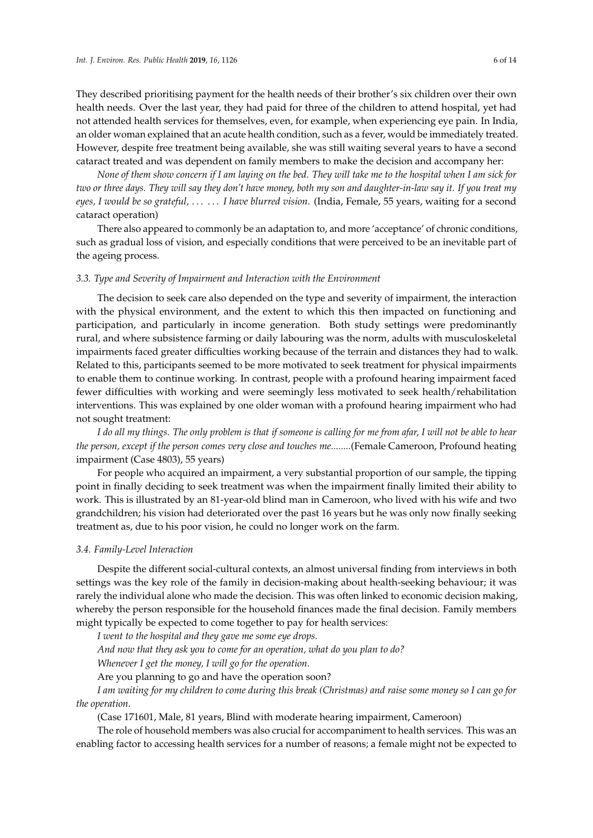They described prioritising payment for the health needs of their brother's six children over their own health needs. Over the last year, they had paid for three of the children to attend hospital, yet had not attended health services for themselves, even, for example, when experiencing eye pain. In India, an older woman explained that an acute health condition, such as a fever, would be immediately treated. However, despite free treatment being available, she was still waiting several years to have a second cataract treated and was dependent on family members to make the decision and accompany her:

*None of them show concern if I am laying on the bed. They will take me to the hospital when I am sick for two or three days. They will say they don't have money, both my son and daughter-in-law say it. If you treat my eyes, I would be so grateful,* . . . . . . *I have blurred vision.* (India, Female, 55 years, waiting for a second cataract operation)

There also appeared to commonly be an adaptation to, and more 'acceptance' of chronic conditions, such as gradual loss of vision, and especially conditions that were perceived to be an inevitable part of the ageing process.

#### *3.3. Type and Severity of Impairment and Interaction with the Environment*

The decision to seek care also depended on the type and severity of impairment, the interaction with the physical environment, and the extent to which this then impacted on functioning and participation, and particularly in income generation. Both study settings were predominantly rural, and where subsistence farming or daily labouring was the norm, adults with musculoskeletal impairments faced greater difficulties working because of the terrain and distances they had to walk. Related to this, participants seemed to be more motivated to seek treatment for physical impairments to enable them to continue working. In contrast, people with a profound hearing impairment faced fewer difficulties with working and were seemingly less motivated to seek health/rehabilitation interventions. This was explained by one older woman with a profound hearing impairment who had not sought treatment:

*I do all my things. The only problem is that if someone is calling for me from afar, I will not be able to hear the person, except if the person comes very close and touches me........*(Female Cameroon, Profound heating impairment (Case 4803), 55 years)

For people who acquired an impairment, a very substantial proportion of our sample, the tipping point in finally deciding to seek treatment was when the impairment finally limited their ability to work. This is illustrated by an 81-year-old blind man in Cameroon, who lived with his wife and two grandchildren; his vision had deteriorated over the past 16 years but he was only now finally seeking treatment as, due to his poor vision, he could no longer work on the farm.

#### *3.4. Family-Level Interaction*

Despite the different social-cultural contexts, an almost universal finding from interviews in both settings was the key role of the family in decision-making about health-seeking behaviour; it was rarely the individual alone who made the decision. This was often linked to economic decision making, whereby the person responsible for the household finances made the final decision. Family members might typically be expected to come together to pay for health services:

*I went to the hospital and they gave me some eye drops.*

*And now that they ask you to come for an operation, what do you plan to do?*

*Whenever I get the money, I will go for the operation.*

Are you planning to go and have the operation soon?

*I am waiting for my children to come during this break (Christmas) and raise some money so I can go for the operation.*

(Case 171601, Male, 81 years, Blind with moderate hearing impairment, Cameroon)

The role of household members was also crucial for accompaniment to health services. This was an enabling factor to accessing health services for a number of reasons; a female might not be expected to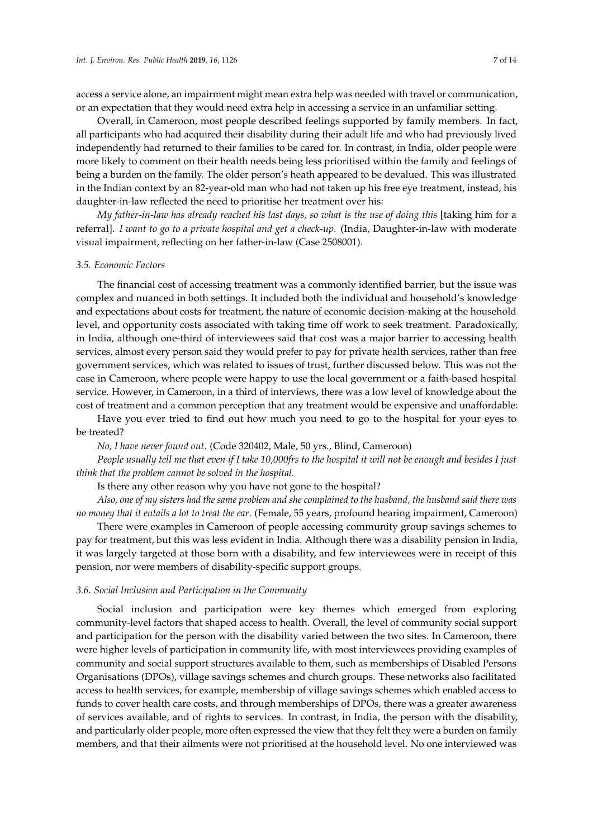access a service alone, an impairment might mean extra help was needed with travel or communication, or an expectation that they would need extra help in accessing a service in an unfamiliar setting.

Overall, in Cameroon, most people described feelings supported by family members. In fact, all participants who had acquired their disability during their adult life and who had previously lived independently had returned to their families to be cared for. In contrast, in India, older people were more likely to comment on their health needs being less prioritised within the family and feelings of being a burden on the family. The older person's heath appeared to be devalued. This was illustrated in the Indian context by an 82-year-old man who had not taken up his free eye treatment, instead, his daughter-in-law reflected the need to prioritise her treatment over his:

*My father-in-law has already reached his last days, so what is the use of doing this* [taking him for a referral]. *I want to go to a private hospital and get a check-up*. (India, Daughter-in-law with moderate visual impairment, reflecting on her father-in-law (Case 2508001).

#### *3.5. Economic Factors*

The financial cost of accessing treatment was a commonly identified barrier, but the issue was complex and nuanced in both settings. It included both the individual and household's knowledge and expectations about costs for treatment, the nature of economic decision-making at the household level, and opportunity costs associated with taking time off work to seek treatment. Paradoxically, in India, although one-third of interviewees said that cost was a major barrier to accessing health services, almost every person said they would prefer to pay for private health services, rather than free government services, which was related to issues of trust, further discussed below. This was not the case in Cameroon, where people were happy to use the local government or a faith-based hospital service. However, in Cameroon, in a third of interviews, there was a low level of knowledge about the cost of treatment and a common perception that any treatment would be expensive and unaffordable:

Have you ever tried to find out how much you need to go to the hospital for your eyes to be treated?

*No, I have never found out.* (Code 320402, Male, 50 yrs., Blind, Cameroon)

*People usually tell me that even if I take 10,000frs to the hospital it will not be enough and besides I just think that the problem cannot be solved in the hospital.*

Is there any other reason why you have not gone to the hospital?

*Also, one of my sisters had the same problem and she complained to the husband, the husband said there was no money that it entails a lot to treat the ear*. (Female, 55 years, profound hearing impairment, Cameroon)

There were examples in Cameroon of people accessing community group savings schemes to pay for treatment, but this was less evident in India. Although there was a disability pension in India, it was largely targeted at those born with a disability, and few interviewees were in receipt of this pension, nor were members of disability-specific support groups.

#### *3.6. Social Inclusion and Participation in the Community*

Social inclusion and participation were key themes which emerged from exploring community-level factors that shaped access to health. Overall, the level of community social support and participation for the person with the disability varied between the two sites. In Cameroon, there were higher levels of participation in community life, with most interviewees providing examples of community and social support structures available to them, such as memberships of Disabled Persons Organisations (DPOs), village savings schemes and church groups. These networks also facilitated access to health services, for example, membership of village savings schemes which enabled access to funds to cover health care costs, and through memberships of DPOs, there was a greater awareness of services available, and of rights to services. In contrast, in India, the person with the disability, and particularly older people, more often expressed the view that they felt they were a burden on family members, and that their ailments were not prioritised at the household level. No one interviewed was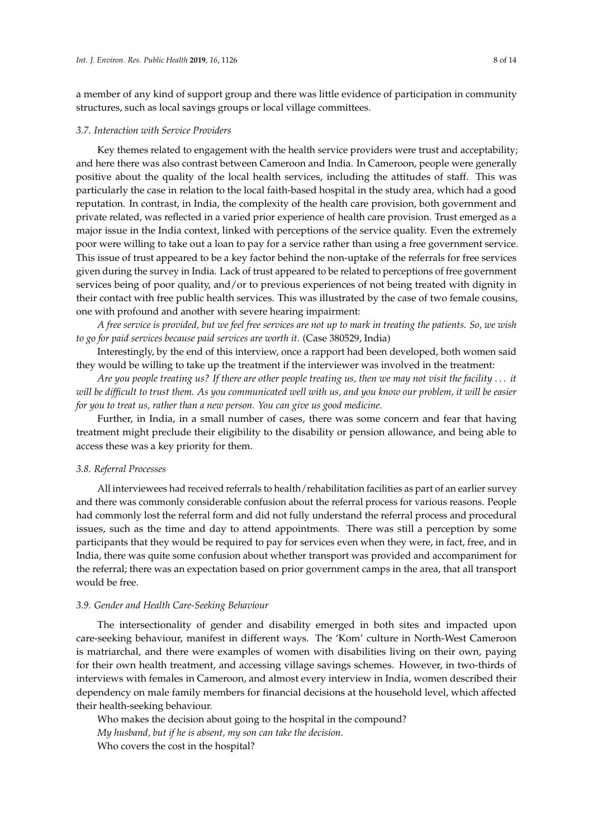a member of any kind of support group and there was little evidence of participation in community structures, such as local savings groups or local village committees.

#### *3.7. Interaction with Service Providers*

Key themes related to engagement with the health service providers were trust and acceptability; and here there was also contrast between Cameroon and India. In Cameroon, people were generally positive about the quality of the local health services, including the attitudes of staff. This was particularly the case in relation to the local faith-based hospital in the study area, which had a good reputation. In contrast, in India, the complexity of the health care provision, both government and private related, was reflected in a varied prior experience of health care provision. Trust emerged as a major issue in the India context, linked with perceptions of the service quality. Even the extremely poor were willing to take out a loan to pay for a service rather than using a free government service. This issue of trust appeared to be a key factor behind the non-uptake of the referrals for free services given during the survey in India. Lack of trust appeared to be related to perceptions of free government services being of poor quality, and/or to previous experiences of not being treated with dignity in their contact with free public health services. This was illustrated by the case of two female cousins, one with profound and another with severe hearing impairment:

*A free service is provided, but we feel free services are not up to mark in treating the patients. So, we wish to go for paid services because paid services are worth it*. (Case 380529, India)

Interestingly, by the end of this interview, once a rapport had been developed, both women said they would be willing to take up the treatment if the interviewer was involved in the treatment:

*Are you people treating us? If there are other people treating us, then we may not visit the facility* . . . *it will be difficult to trust them. As you communicated well with us, and you know our problem, it will be easier for you to treat us, rather than a new person. You can give us good medicine.*

Further, in India, in a small number of cases, there was some concern and fear that having treatment might preclude their eligibility to the disability or pension allowance, and being able to access these was a key priority for them.

# *3.8. Referral Processes*

All interviewees had received referrals to health/rehabilitation facilities as part of an earlier survey and there was commonly considerable confusion about the referral process for various reasons. People had commonly lost the referral form and did not fully understand the referral process and procedural issues, such as the time and day to attend appointments. There was still a perception by some participants that they would be required to pay for services even when they were, in fact, free, and in India, there was quite some confusion about whether transport was provided and accompaniment for the referral; there was an expectation based on prior government camps in the area, that all transport would be free.

#### *3.9. Gender and Health Care-Seeking Behaviour*

The intersectionality of gender and disability emerged in both sites and impacted upon care-seeking behaviour, manifest in different ways. The 'Kom' culture in North-West Cameroon is matriarchal, and there were examples of women with disabilities living on their own, paying for their own health treatment, and accessing village savings schemes. However, in two-thirds of interviews with females in Cameroon, and almost every interview in India, women described their dependency on male family members for financial decisions at the household level, which affected their health-seeking behaviour.

Who makes the decision about going to the hospital in the compound? *My husband, but if he is absent, my son can take the decision.* Who covers the cost in the hospital?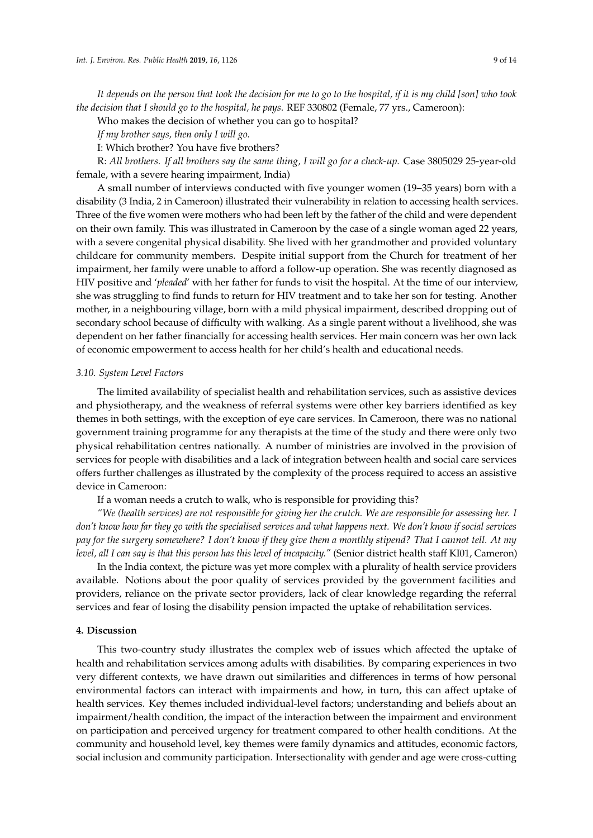*It depends on the person that took the decision for me to go to the hospital, if it is my child [son] who took the decision that I should go to the hospital, he pays*. REF 330802 (Female, 77 yrs., Cameroon):

Who makes the decision of whether you can go to hospital?

*If my brother says, then only I will go.*

I: Which brother? You have five brothers?

R: *All brothers. If all brothers say the same thing, I will go for a check-up.* Case 3805029 25-year-old female, with a severe hearing impairment, India)

A small number of interviews conducted with five younger women (19–35 years) born with a disability (3 India, 2 in Cameroon) illustrated their vulnerability in relation to accessing health services. Three of the five women were mothers who had been left by the father of the child and were dependent on their own family. This was illustrated in Cameroon by the case of a single woman aged 22 years, with a severe congenital physical disability. She lived with her grandmother and provided voluntary childcare for community members. Despite initial support from the Church for treatment of her impairment, her family were unable to afford a follow-up operation. She was recently diagnosed as HIV positive and '*pleaded*' with her father for funds to visit the hospital. At the time of our interview, she was struggling to find funds to return for HIV treatment and to take her son for testing. Another mother, in a neighbouring village, born with a mild physical impairment, described dropping out of secondary school because of difficulty with walking. As a single parent without a livelihood, she was dependent on her father financially for accessing health services. Her main concern was her own lack of economic empowerment to access health for her child's health and educational needs.

#### *3.10. System Level Factors*

The limited availability of specialist health and rehabilitation services, such as assistive devices and physiotherapy, and the weakness of referral systems were other key barriers identified as key themes in both settings, with the exception of eye care services. In Cameroon, there was no national government training programme for any therapists at the time of the study and there were only two physical rehabilitation centres nationally. A number of ministries are involved in the provision of services for people with disabilities and a lack of integration between health and social care services offers further challenges as illustrated by the complexity of the process required to access an assistive device in Cameroon:

If a woman needs a crutch to walk, who is responsible for providing this?

*"We (health services) are not responsible for giving her the crutch. We are responsible for assessing her. I don't know how far they go with the specialised services and what happens next. We don't know if social services pay for the surgery somewhere? I don't know if they give them a monthly stipend? That I cannot tell. At my level, all I can say is that this person has this level of incapacity."* (Senior district health staff KI01, Cameron)

In the India context, the picture was yet more complex with a plurality of health service providers available. Notions about the poor quality of services provided by the government facilities and providers, reliance on the private sector providers, lack of clear knowledge regarding the referral services and fear of losing the disability pension impacted the uptake of rehabilitation services.

#### **4. Discussion**

This two-country study illustrates the complex web of issues which affected the uptake of health and rehabilitation services among adults with disabilities. By comparing experiences in two very different contexts, we have drawn out similarities and differences in terms of how personal environmental factors can interact with impairments and how, in turn, this can affect uptake of health services. Key themes included individual-level factors; understanding and beliefs about an impairment/health condition, the impact of the interaction between the impairment and environment on participation and perceived urgency for treatment compared to other health conditions. At the community and household level, key themes were family dynamics and attitudes, economic factors, social inclusion and community participation. Intersectionality with gender and age were cross-cutting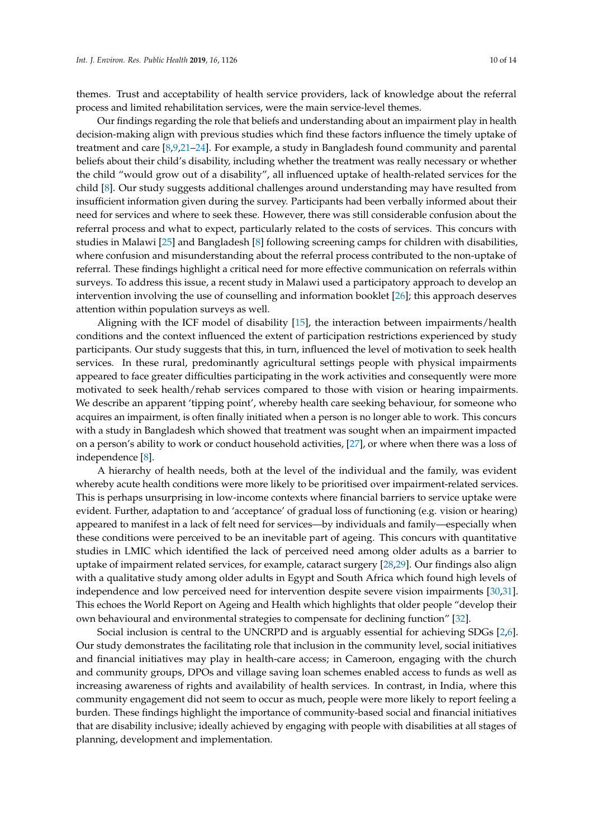themes. Trust and acceptability of health service providers, lack of knowledge about the referral process and limited rehabilitation services, were the main service-level themes.

Our findings regarding the role that beliefs and understanding about an impairment play in health decision-making align with previous studies which find these factors influence the timely uptake of treatment and care [\[8](#page-11-7)[,9](#page-11-8)[,21](#page-12-9)[–24\]](#page-12-10). For example, a study in Bangladesh found community and parental beliefs about their child's disability, including whether the treatment was really necessary or whether the child "would grow out of a disability", all influenced uptake of health-related services for the child [\[8\]](#page-11-7). Our study suggests additional challenges around understanding may have resulted from insufficient information given during the survey. Participants had been verbally informed about their need for services and where to seek these. However, there was still considerable confusion about the referral process and what to expect, particularly related to the costs of services. This concurs with studies in Malawi [\[25\]](#page-12-11) and Bangladesh [\[8\]](#page-11-7) following screening camps for children with disabilities, where confusion and misunderstanding about the referral process contributed to the non-uptake of referral. These findings highlight a critical need for more effective communication on referrals within surveys. To address this issue, a recent study in Malawi used a participatory approach to develop an intervention involving the use of counselling and information booklet [\[26\]](#page-12-12); this approach deserves attention within population surveys as well.

Aligning with the ICF model of disability [\[15\]](#page-12-3), the interaction between impairments/health conditions and the context influenced the extent of participation restrictions experienced by study participants. Our study suggests that this, in turn, influenced the level of motivation to seek health services. In these rural, predominantly agricultural settings people with physical impairments appeared to face greater difficulties participating in the work activities and consequently were more motivated to seek health/rehab services compared to those with vision or hearing impairments. We describe an apparent 'tipping point', whereby health care seeking behaviour, for someone who acquires an impairment, is often finally initiated when a person is no longer able to work. This concurs with a study in Bangladesh which showed that treatment was sought when an impairment impacted on a person's ability to work or conduct household activities, [\[27\]](#page-12-13), or where when there was a loss of independence [\[8\]](#page-11-7).

A hierarchy of health needs, both at the level of the individual and the family, was evident whereby acute health conditions were more likely to be prioritised over impairment-related services. This is perhaps unsurprising in low-income contexts where financial barriers to service uptake were evident. Further, adaptation to and 'acceptance' of gradual loss of functioning (e.g. vision or hearing) appeared to manifest in a lack of felt need for services—by individuals and family—especially when these conditions were perceived to be an inevitable part of ageing. This concurs with quantitative studies in LMIC which identified the lack of perceived need among older adults as a barrier to uptake of impairment related services, for example, cataract surgery [\[28,](#page-12-14)[29\]](#page-12-15). Our findings also align with a qualitative study among older adults in Egypt and South Africa which found high levels of independence and low perceived need for intervention despite severe vision impairments [\[30,](#page-12-16)[31\]](#page-12-17). This echoes the World Report on Ageing and Health which highlights that older people "develop their own behavioural and environmental strategies to compensate for declining function" [\[32\]](#page-13-0).

Social inclusion is central to the UNCRPD and is arguably essential for achieving SDGs [\[2,](#page-11-1)[6\]](#page-11-5). Our study demonstrates the facilitating role that inclusion in the community level, social initiatives and financial initiatives may play in health-care access; in Cameroon, engaging with the church and community groups, DPOs and village saving loan schemes enabled access to funds as well as increasing awareness of rights and availability of health services. In contrast, in India, where this community engagement did not seem to occur as much, people were more likely to report feeling a burden. These findings highlight the importance of community-based social and financial initiatives that are disability inclusive; ideally achieved by engaging with people with disabilities at all stages of planning, development and implementation.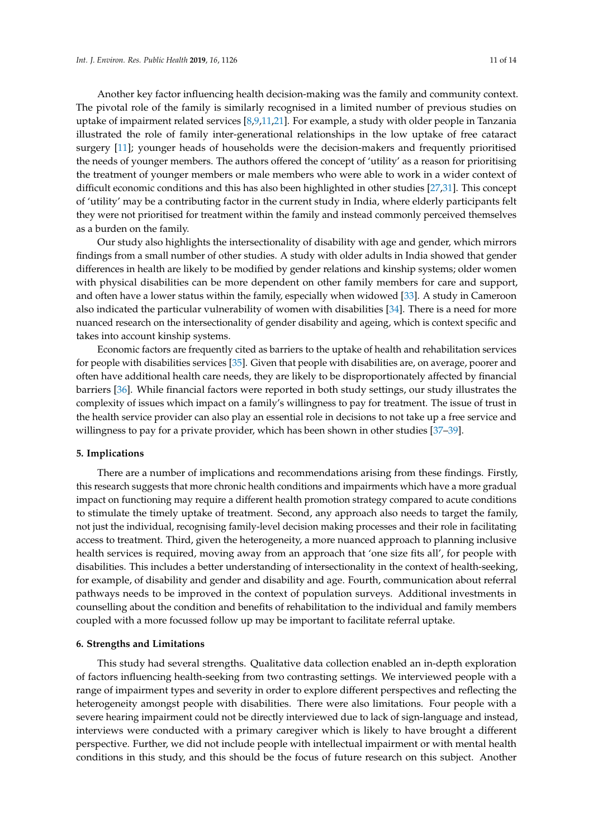Another key factor influencing health decision-making was the family and community context. The pivotal role of the family is similarly recognised in a limited number of previous studies on uptake of impairment related services [\[8](#page-11-7)[,9](#page-11-8)[,11,](#page-12-18)[21\]](#page-12-9). For example, a study with older people in Tanzania illustrated the role of family inter-generational relationships in the low uptake of free cataract surgery [\[11\]](#page-12-18); younger heads of households were the decision-makers and frequently prioritised the needs of younger members. The authors offered the concept of 'utility' as a reason for prioritising the treatment of younger members or male members who were able to work in a wider context of difficult economic conditions and this has also been highlighted in other studies [\[27,](#page-12-13)[31\]](#page-12-17). This concept of 'utility' may be a contributing factor in the current study in India, where elderly participants felt they were not prioritised for treatment within the family and instead commonly perceived themselves as a burden on the family.

Our study also highlights the intersectionality of disability with age and gender, which mirrors findings from a small number of other studies. A study with older adults in India showed that gender differences in health are likely to be modified by gender relations and kinship systems; older women with physical disabilities can be more dependent on other family members for care and support, and often have a lower status within the family, especially when widowed [\[33\]](#page-13-1). A study in Cameroon also indicated the particular vulnerability of women with disabilities [\[34\]](#page-13-2). There is a need for more nuanced research on the intersectionality of gender disability and ageing, which is context specific and takes into account kinship systems.

Economic factors are frequently cited as barriers to the uptake of health and rehabilitation services for people with disabilities services [\[35\]](#page-13-3). Given that people with disabilities are, on average, poorer and often have additional health care needs, they are likely to be disproportionately affected by financial barriers [\[36\]](#page-13-4). While financial factors were reported in both study settings, our study illustrates the complexity of issues which impact on a family's willingness to pay for treatment. The issue of trust in the health service provider can also play an essential role in decisions to not take up a free service and willingness to pay for a private provider, which has been shown in other studies [\[37](#page-13-5)[–39\]](#page-13-6).

# **5. Implications**

There are a number of implications and recommendations arising from these findings. Firstly, this research suggests that more chronic health conditions and impairments which have a more gradual impact on functioning may require a different health promotion strategy compared to acute conditions to stimulate the timely uptake of treatment. Second, any approach also needs to target the family, not just the individual, recognising family-level decision making processes and their role in facilitating access to treatment. Third, given the heterogeneity, a more nuanced approach to planning inclusive health services is required, moving away from an approach that 'one size fits all', for people with disabilities. This includes a better understanding of intersectionality in the context of health-seeking, for example, of disability and gender and disability and age. Fourth, communication about referral pathways needs to be improved in the context of population surveys. Additional investments in counselling about the condition and benefits of rehabilitation to the individual and family members coupled with a more focussed follow up may be important to facilitate referral uptake.

#### **6. Strengths and Limitations**

This study had several strengths. Qualitative data collection enabled an in-depth exploration of factors influencing health-seeking from two contrasting settings. We interviewed people with a range of impairment types and severity in order to explore different perspectives and reflecting the heterogeneity amongst people with disabilities. There were also limitations. Four people with a severe hearing impairment could not be directly interviewed due to lack of sign-language and instead, interviews were conducted with a primary caregiver which is likely to have brought a different perspective. Further, we did not include people with intellectual impairment or with mental health conditions in this study, and this should be the focus of future research on this subject. Another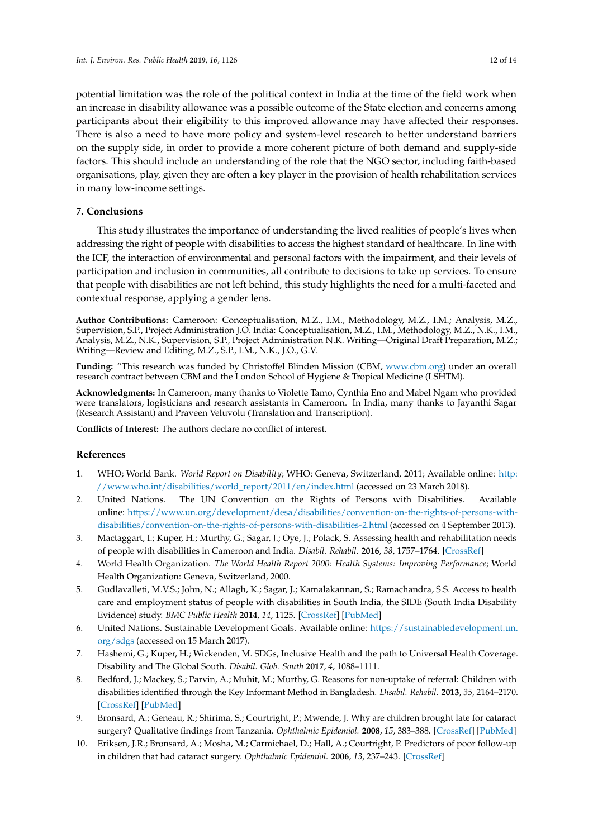potential limitation was the role of the political context in India at the time of the field work when an increase in disability allowance was a possible outcome of the State election and concerns among participants about their eligibility to this improved allowance may have affected their responses. There is also a need to have more policy and system-level research to better understand barriers on the supply side, in order to provide a more coherent picture of both demand and supply-side factors. This should include an understanding of the role that the NGO sector, including faith-based organisations, play, given they are often a key player in the provision of health rehabilitation services in many low-income settings.

# **7. Conclusions**

This study illustrates the importance of understanding the lived realities of people's lives when addressing the right of people with disabilities to access the highest standard of healthcare. In line with the ICF, the interaction of environmental and personal factors with the impairment, and their levels of participation and inclusion in communities, all contribute to decisions to take up services. To ensure that people with disabilities are not left behind, this study highlights the need for a multi-faceted and contextual response, applying a gender lens.

**Author Contributions:** Cameroon: Conceptualisation, M.Z., I.M., Methodology, M.Z., I.M.; Analysis, M.Z., Supervision, S.P., Project Administration J.O. India: Conceptualisation, M.Z., I.M., Methodology, M.Z., N.K., I.M., Analysis, M.Z., N.K., Supervision, S.P., Project Administration N.K. Writing—Original Draft Preparation, M.Z.; Writing—Review and Editing, M.Z., S.P., I.M., N.K., J.O., G.V.

Funding: "This research was funded by Christoffel Blinden Mission (CBM, [www.cbm.org\)](www.cbm.org) under an overall research contract between CBM and the London School of Hygiene & Tropical Medicine (LSHTM).

**Acknowledgments:** In Cameroon, many thanks to Violette Tamo, Cynthia Eno and Mabel Ngam who provided were translators, logisticians and research assistants in Cameroon. In India, many thanks to Jayanthi Sagar (Research Assistant) and Praveen Veluvolu (Translation and Transcription).

**Conflicts of Interest:** The authors declare no conflict of interest.

# **References**

- <span id="page-11-0"></span>1. WHO; World Bank. *World Report on Disability*; WHO: Geneva, Switzerland, 2011; Available online: [http:](http://www.who.int/disabilities/world_report/2011/en/index.html) [//www.who.int/disabilities/world\\_report/2011/en/index.html](http://www.who.int/disabilities/world_report/2011/en/index.html) (accessed on 23 March 2018).
- <span id="page-11-1"></span>2. United Nations. The UN Convention on the Rights of Persons with Disabilities. Available online: [https://www.un.org/development/desa/disabilities/convention-on-the-rights-of-persons-with](https://www.un.org/development/desa/disabilities/convention-on-the-rights-of-persons-with-disabilities/convention-on-the-rights-of-persons-with-disabilities-2.html)[disabilities/convention-on-the-rights-of-persons-with-disabilities-2.html](https://www.un.org/development/desa/disabilities/convention-on-the-rights-of-persons-with-disabilities/convention-on-the-rights-of-persons-with-disabilities-2.html) (accessed on 4 September 2013).
- <span id="page-11-2"></span>3. Mactaggart, I.; Kuper, H.; Murthy, G.; Sagar, J.; Oye, J.; Polack, S. Assessing health and rehabilitation needs of people with disabilities in Cameroon and India. *Disabil. Rehabil.* **2016**, *38*, 1757–1764. [\[CrossRef\]](http://dx.doi.org/10.3109/09638288.2015.1107765)
- <span id="page-11-3"></span>4. World Health Organization. *The World Health Report 2000: Health Systems: Improving Performance*; World Health Organization: Geneva, Switzerland, 2000.
- <span id="page-11-4"></span>5. Gudlavalleti, M.V.S.; John, N.; Allagh, K.; Sagar, J.; Kamalakannan, S.; Ramachandra, S.S. Access to health care and employment status of people with disabilities in South India, the SIDE (South India Disability Evidence) study. *BMC Public Health* **2014**, *14*, 1125. [\[CrossRef\]](http://dx.doi.org/10.1186/1471-2458-14-1125) [\[PubMed\]](http://www.ncbi.nlm.nih.gov/pubmed/25361570)
- <span id="page-11-5"></span>6. United Nations. Sustainable Development Goals. Available online: [https://sustainabledevelopment.un.](https://sustainabledevelopment.un.org/sdgs) [org/sdgs](https://sustainabledevelopment.un.org/sdgs) (accessed on 15 March 2017).
- <span id="page-11-6"></span>7. Hashemi, G.; Kuper, H.; Wickenden, M. SDGs, Inclusive Health and the path to Universal Health Coverage. Disability and The Global South. *Disabil. Glob. South* **2017**, *4*, 1088–1111.
- <span id="page-11-7"></span>8. Bedford, J.; Mackey, S.; Parvin, A.; Muhit, M.; Murthy, G. Reasons for non-uptake of referral: Children with disabilities identified through the Key Informant Method in Bangladesh. *Disabil. Rehabil.* **2013**, *35*, 2164–2170. [\[CrossRef\]](http://dx.doi.org/10.3109/09638288.2013.770927) [\[PubMed\]](http://www.ncbi.nlm.nih.gov/pubmed/23480675)
- <span id="page-11-8"></span>9. Bronsard, A.; Geneau, R.; Shirima, S.; Courtright, P.; Mwende, J. Why are children brought late for cataract surgery? Qualitative findings from Tanzania. *Ophthalmic Epidemiol.* **2008**, *15*, 383–388. [\[CrossRef\]](http://dx.doi.org/10.1080/09286580802488624) [\[PubMed\]](http://www.ncbi.nlm.nih.gov/pubmed/19065431)
- 10. Eriksen, J.R.; Bronsard, A.; Mosha, M.; Carmichael, D.; Hall, A.; Courtright, P. Predictors of poor follow-up in children that had cataract surgery. *Ophthalmic Epidemiol.* **2006**, *13*, 237–243. [\[CrossRef\]](http://dx.doi.org/10.1080/09286580600672213)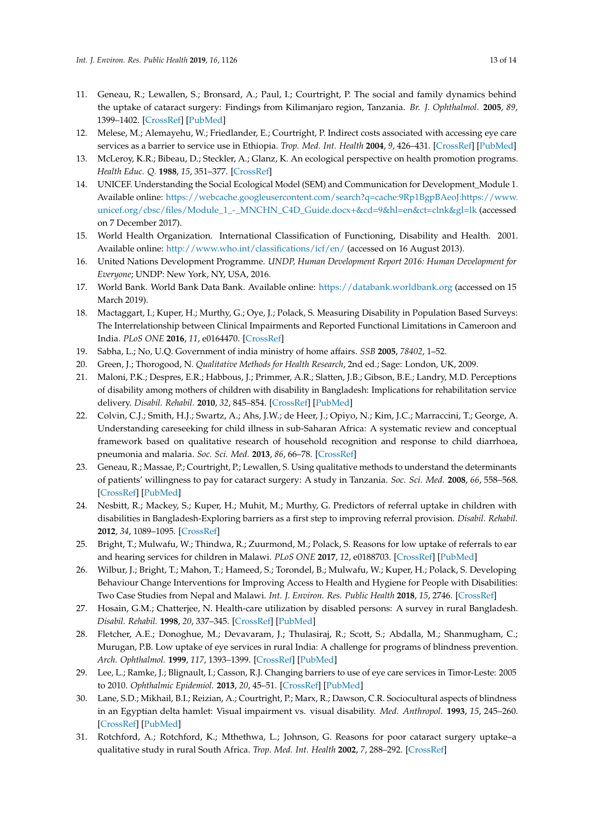- <span id="page-12-18"></span>11. Geneau, R.; Lewallen, S.; Bronsard, A.; Paul, I.; Courtright, P. The social and family dynamics behind the uptake of cataract surgery: Findings from Kilimanjaro region, Tanzania. *Br. J. Ophthalmol.* **2005**, *89*, 1399–1402. [\[CrossRef\]](http://dx.doi.org/10.1136/bjo.2005.075572) [\[PubMed\]](http://www.ncbi.nlm.nih.gov/pubmed/16234438)
- <span id="page-12-0"></span>12. Melese, M.; Alemayehu, W.; Friedlander, E.; Courtright, P. Indirect costs associated with accessing eye care services as a barrier to service use in Ethiopia. *Trop. Med. Int. Health* **2004**, *9*, 426–431. [\[CrossRef\]](http://dx.doi.org/10.1111/j.1365-3156.2004.01205.x) [\[PubMed\]](http://www.ncbi.nlm.nih.gov/pubmed/14996373)
- <span id="page-12-1"></span>13. McLeroy, K.R.; Bibeau, D.; Steckler, A.; Glanz, K. An ecological perspective on health promotion programs. *Health Educ. Q.* **1988**, *15*, 351–377. [\[CrossRef\]](http://dx.doi.org/10.1177/109019818801500401)
- <span id="page-12-2"></span>14. UNICEF. Understanding the Social Ecological Model (SEM) and Communication for Development\_Module 1. Available online: [https://webcache.googleusercontent.com/search?q=cache:9Rp1BgpBAeoJ:https://www.](https://webcache.googleusercontent.com/search?q=cache:9Rp1BgpBAeoJ:https://www.unicef.org/cbsc/files/Module_1_-_MNCHN_C4D_Guide.docx+&cd=9&hl=en&ct=clnk&gl=lk) [unicef.org/cbsc/files/Module\\_1\\_-\\_MNCHN\\_C4D\\_Guide.docx+&cd=9&hl=en&ct=clnk&gl=lk](https://webcache.googleusercontent.com/search?q=cache:9Rp1BgpBAeoJ:https://www.unicef.org/cbsc/files/Module_1_-_MNCHN_C4D_Guide.docx+&cd=9&hl=en&ct=clnk&gl=lk) (accessed on 7 December 2017).
- <span id="page-12-3"></span>15. World Health Organization. International Classification of Functioning, Disability and Health. 2001. Available online: <http://www.who.int/classifications/icf/en/> (accessed on 16 August 2013).
- <span id="page-12-4"></span>16. United Nations Development Programme. *UNDP, Human Development Report 2016: Human Development for Everyone*; UNDP: New York, NY, USA, 2016.
- <span id="page-12-5"></span>17. World Bank. World Bank Data Bank. Available online: <https://databank.worldbank.org> (accessed on 15 March 2019).
- <span id="page-12-6"></span>18. Mactaggart, I.; Kuper, H.; Murthy, G.; Oye, J.; Polack, S. Measuring Disability in Population Based Surveys: The Interrelationship between Clinical Impairments and Reported Functional Limitations in Cameroon and India. *PLoS ONE* **2016**, *11*, e0164470. [\[CrossRef\]](http://dx.doi.org/10.1371/journal.pone.0164470)
- <span id="page-12-7"></span>19. Sabha, L.; No, U.Q. Government of india ministry of home affairs. *SSB* **2005**, *78402*, 1–52.
- <span id="page-12-8"></span>20. Green, J.; Thorogood, N. *Qualitative Methods for Health Research*, 2nd ed.; Sage: London, UK, 2009.
- <span id="page-12-9"></span>21. Maloni, P.K.; Despres, E.R.; Habbous, J.; Primmer, A.R.; Slatten, J.B.; Gibson, B.E.; Landry, M.D. Perceptions of disability among mothers of children with disability in Bangladesh: Implications for rehabilitation service delivery. *Disabil. Rehabil.* **2010**, *32*, 845–854. [\[CrossRef\]](http://dx.doi.org/10.3109/09638280903326063) [\[PubMed\]](http://www.ncbi.nlm.nih.gov/pubmed/20131951)
- 22. Colvin, C.J.; Smith, H.J.; Swartz, A.; Ahs, J.W.; de Heer, J.; Opiyo, N.; Kim, J.C.; Marraccini, T.; George, A. Understanding careseeking for child illness in sub-Saharan Africa: A systematic review and conceptual framework based on qualitative research of household recognition and response to child diarrhoea, pneumonia and malaria. *Soc. Sci. Med.* **2013**, *86*, 66–78. [\[CrossRef\]](http://dx.doi.org/10.1016/j.socscimed.2013.02.031)
- 23. Geneau, R.; Massae, P.; Courtright, P.; Lewallen, S. Using qualitative methods to understand the determinants of patients' willingness to pay for cataract surgery: A study in Tanzania. *Soc. Sci. Med.* **2008**, *66*, 558–568. [\[CrossRef\]](http://dx.doi.org/10.1016/j.socscimed.2007.09.016) [\[PubMed\]](http://www.ncbi.nlm.nih.gov/pubmed/18006201)
- <span id="page-12-10"></span>24. Nesbitt, R.; Mackey, S.; Kuper, H.; Muhit, M.; Murthy, G. Predictors of referral uptake in children with disabilities in Bangladesh-Exploring barriers as a first step to improving referral provision. *Disabil. Rehabil.* **2012**, *34*, 1089–1095. [\[CrossRef\]](http://dx.doi.org/10.3109/09638288.2011.634943)
- <span id="page-12-11"></span>25. Bright, T.; Mulwafu, W.; Thindwa, R.; Zuurmond, M.; Polack, S. Reasons for low uptake of referrals to ear and hearing services for children in Malawi. *PLoS ONE* **2017**, *12*, e0188703. [\[CrossRef\]](http://dx.doi.org/10.1371/journal.pone.0188703) [\[PubMed\]](http://www.ncbi.nlm.nih.gov/pubmed/29261683)
- <span id="page-12-12"></span>26. Wilbur, J.; Bright, T.; Mahon, T.; Hameed, S.; Torondel, B.; Mulwafu, W.; Kuper, H.; Polack, S. Developing Behaviour Change Interventions for Improving Access to Health and Hygiene for People with Disabilities: Two Case Studies from Nepal and Malawi. *Int. J. Environ. Res. Public Health* **2018**, *15*, 2746. [\[CrossRef\]](http://dx.doi.org/10.3390/ijerph15122746)
- <span id="page-12-13"></span>27. Hosain, G.M.; Chatterjee, N. Health-care utilization by disabled persons: A survey in rural Bangladesh. *Disabil. Rehabil.* **1998**, *20*, 337–345. [\[CrossRef\]](http://dx.doi.org/10.3109/09638289809166091) [\[PubMed\]](http://www.ncbi.nlm.nih.gov/pubmed/9664192)
- <span id="page-12-14"></span>28. Fletcher, A.E.; Donoghue, M.; Devavaram, J.; Thulasiraj, R.; Scott, S.; Abdalla, M.; Shanmugham, C.; Murugan, P.B. Low uptake of eye services in rural India: A challenge for programs of blindness prevention. *Arch. Ophthalmol.* **1999**, *117*, 1393–1399. [\[CrossRef\]](http://dx.doi.org/10.1001/archopht.117.10.1393) [\[PubMed\]](http://www.ncbi.nlm.nih.gov/pubmed/10532449)
- <span id="page-12-15"></span>29. Lee, L.; Ramke, J.; Blignault, I.; Casson, R.J. Changing barriers to use of eye care services in Timor-Leste: 2005 to 2010. *Ophthalmic Epidemiol.* **2013**, *20*, 45–51. [\[CrossRef\]](http://dx.doi.org/10.3109/09286586.2012.742551) [\[PubMed\]](http://www.ncbi.nlm.nih.gov/pubmed/23350555)
- <span id="page-12-16"></span>30. Lane, S.D.; Mikhail, B.I.; Reizian, A.; Courtright, P.; Marx, R.; Dawson, C.R. Sociocultural aspects of blindness in an Egyptian delta hamlet: Visual impairment vs. visual disability. *Med. Anthropol.* **1993**, *15*, 245–260. [\[CrossRef\]](http://dx.doi.org/10.1080/01459740.1993.9966093) [\[PubMed\]](http://www.ncbi.nlm.nih.gov/pubmed/8114621)
- <span id="page-12-17"></span>31. Rotchford, A.; Rotchford, K.; Mthethwa, L.; Johnson, G. Reasons for poor cataract surgery uptake–a qualitative study in rural South Africa. *Trop. Med. Int. Health* **2002**, *7*, 288–292. [\[CrossRef\]](http://dx.doi.org/10.1046/j.1365-3156.2002.00850.x)